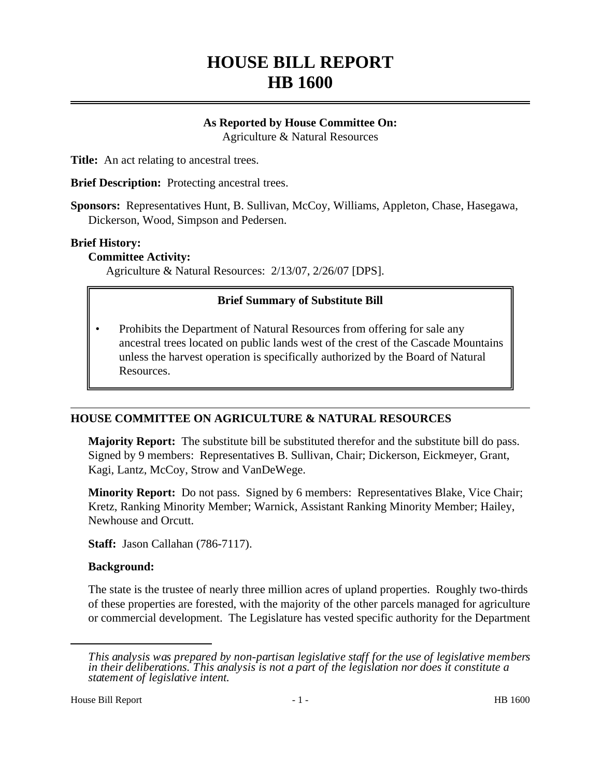# **HOUSE BILL REPORT HB 1600**

#### **As Reported by House Committee On:** Agriculture & Natural Resources

**Title:** An act relating to ancestral trees.

**Brief Description:** Protecting ancestral trees.

**Sponsors:** Representatives Hunt, B. Sullivan, McCoy, Williams, Appleton, Chase, Hasegawa, Dickerson, Wood, Simpson and Pedersen.

#### **Brief History:**

#### **Committee Activity:**

Agriculture & Natural Resources: 2/13/07, 2/26/07 [DPS].

## **Brief Summary of Substitute Bill**

• Prohibits the Department of Natural Resources from offering for sale any ancestral trees located on public lands west of the crest of the Cascade Mountains unless the harvest operation is specifically authorized by the Board of Natural Resources.

## **HOUSE COMMITTEE ON AGRICULTURE & NATURAL RESOURCES**

**Majority Report:** The substitute bill be substituted therefor and the substitute bill do pass. Signed by 9 members: Representatives B. Sullivan, Chair; Dickerson, Eickmeyer, Grant, Kagi, Lantz, McCoy, Strow and VanDeWege.

**Minority Report:** Do not pass. Signed by 6 members: Representatives Blake, Vice Chair; Kretz, Ranking Minority Member; Warnick, Assistant Ranking Minority Member; Hailey, Newhouse and Orcutt.

**Staff:** Jason Callahan (786-7117).

## **Background:**

The state is the trustee of nearly three million acres of upland properties. Roughly two-thirds of these properties are forested, with the majority of the other parcels managed for agriculture or commercial development. The Legislature has vested specific authority for the Department

*This analysis was prepared by non-partisan legislative staff for the use of legislative members in their deliberations. This analysis is not a part of the legislation nor does it constitute a statement of legislative intent.*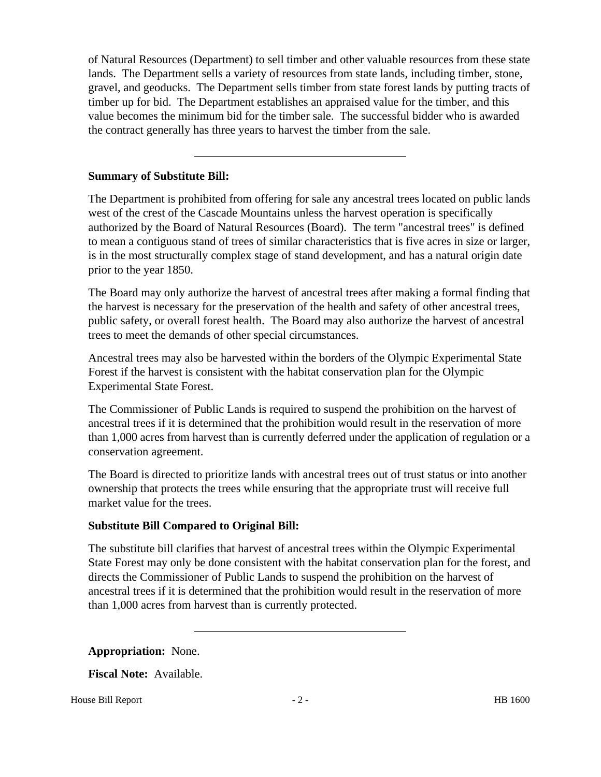of Natural Resources (Department) to sell timber and other valuable resources from these state lands. The Department sells a variety of resources from state lands, including timber, stone, gravel, and geoducks. The Department sells timber from state forest lands by putting tracts of timber up for bid. The Department establishes an appraised value for the timber, and this value becomes the minimum bid for the timber sale. The successful bidder who is awarded the contract generally has three years to harvest the timber from the sale.

# **Summary of Substitute Bill:**

The Department is prohibited from offering for sale any ancestral trees located on public lands west of the crest of the Cascade Mountains unless the harvest operation is specifically authorized by the Board of Natural Resources (Board). The term "ancestral trees" is defined to mean a contiguous stand of trees of similar characteristics that is five acres in size or larger, is in the most structurally complex stage of stand development, and has a natural origin date prior to the year 1850.

The Board may only authorize the harvest of ancestral trees after making a formal finding that the harvest is necessary for the preservation of the health and safety of other ancestral trees, public safety, or overall forest health. The Board may also authorize the harvest of ancestral trees to meet the demands of other special circumstances.

Ancestral trees may also be harvested within the borders of the Olympic Experimental State Forest if the harvest is consistent with the habitat conservation plan for the Olympic Experimental State Forest.

The Commissioner of Public Lands is required to suspend the prohibition on the harvest of ancestral trees if it is determined that the prohibition would result in the reservation of more than 1,000 acres from harvest than is currently deferred under the application of regulation or a conservation agreement.

The Board is directed to prioritize lands with ancestral trees out of trust status or into another ownership that protects the trees while ensuring that the appropriate trust will receive full market value for the trees.

# **Substitute Bill Compared to Original Bill:**

The substitute bill clarifies that harvest of ancestral trees within the Olympic Experimental State Forest may only be done consistent with the habitat conservation plan for the forest, and directs the Commissioner of Public Lands to suspend the prohibition on the harvest of ancestral trees if it is determined that the prohibition would result in the reservation of more than 1,000 acres from harvest than is currently protected.

**Appropriation:** None.

**Fiscal Note:** Available.

House Bill Report **Figure 2** - 2 - **HB** 1600